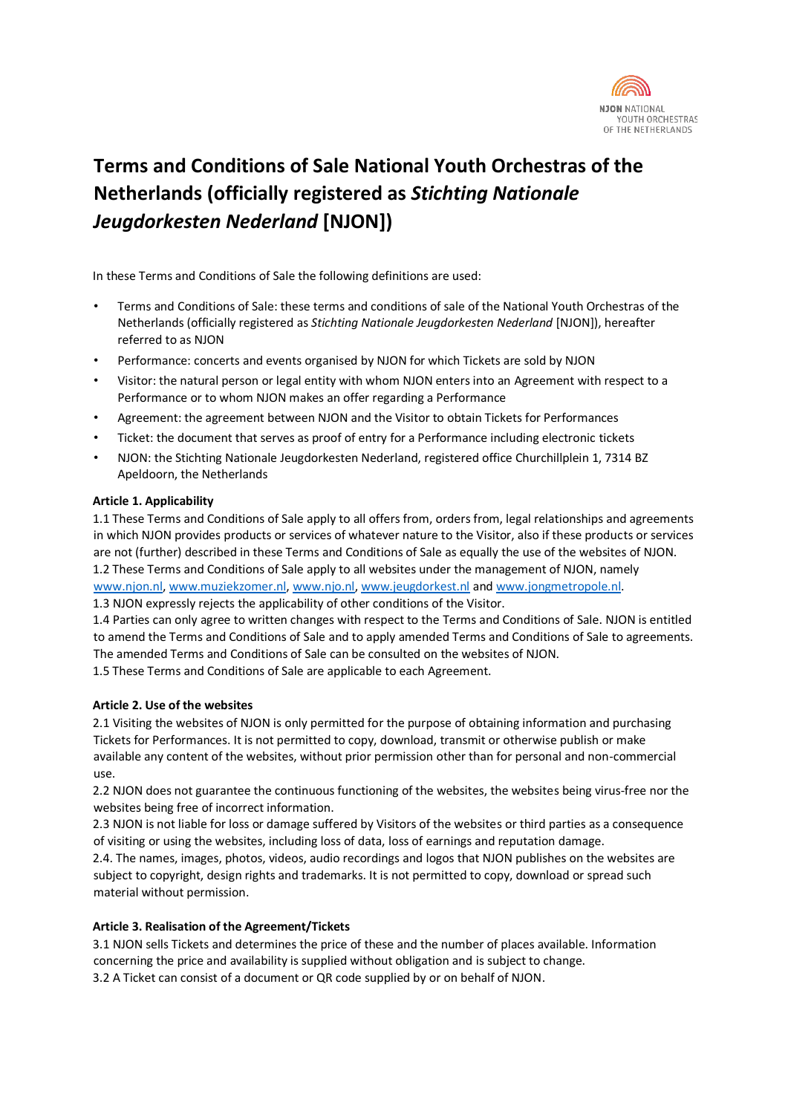

# **Terms and Conditions of Sale National Youth Orchestras of the Netherlands (officially registered as** *Stichting Nationale Jeugdorkesten Nederland* **[NJON])**

In these Terms and Conditions of Sale the following definitions are used:

- Terms and Conditions of Sale: these terms and conditions of sale of the National Youth Orchestras of the Netherlands (officially registered as *Stichting Nationale Jeugdorkesten Nederland* [NJON]), hereafter referred to as NJON
- Performance: concerts and events organised by NJON for which Tickets are sold by NJON
- Visitor: the natural person or legal entity with whom NJON enters into an Agreement with respect to a Performance or to whom NJON makes an offer regarding a Performance
- Agreement: the agreement between NJON and the Visitor to obtain Tickets for Performances
- Ticket: the document that serves as proof of entry for a Performance including electronic tickets
- NJON: the Stichting Nationale Jeugdorkesten Nederland, registered office Churchillplein 1, 7314 BZ Apeldoorn, the Netherlands

### **Article 1. Applicability**

1.1 These Terms and Conditions of Sale apply to all offers from, orders from, legal relationships and agreements in which NJON provides products or services of whatever nature to the Visitor, also if these products or services are not (further) described in these Terms and Conditions of Sale as equally the use of the websites of NJON. 1.2 These Terms and Conditions of Sale apply to all websites under the management of NJON, namely [www.njon.nl](http://www.njon.nl/)[, www.muziekzomer.nl,](http://www.muziekzomer.nl/) [www.njo.nl](http://www.njo.nl/)[, www.jeugdorkest.nl](http://www.jeugdorkest.nl/) and [www.jongmetropole.nl.](http://www.jongmetropole.nl/)

1.3 NJON expressly rejects the applicability of other conditions of the Visitor.

1.4 Parties can only agree to written changes with respect to the Terms and Conditions of Sale. NJON is entitled to amend the Terms and Conditions of Sale and to apply amended Terms and Conditions of Sale to agreements. The amended Terms and Conditions of Sale can be consulted on the websites of NJON.

1.5 These Terms and Conditions of Sale are applicable to each Agreement.

## **Article 2. Use of the websites**

2.1 Visiting the websites of NJON is only permitted for the purpose of obtaining information and purchasing Tickets for Performances. It is not permitted to copy, download, transmit or otherwise publish or make available any content of the websites, without prior permission other than for personal and non-commercial use.

2.2 NJON does not guarantee the continuous functioning of the websites, the websites being virus-free nor the websites being free of incorrect information.

2.3 NJON is not liable for loss or damage suffered by Visitors of the websites or third parties as a consequence of visiting or using the websites, including loss of data, loss of earnings and reputation damage.

2.4. The names, images, photos, videos, audio recordings and logos that NJON publishes on the websites are subject to copyright, design rights and trademarks. It is not permitted to copy, download or spread such material without permission.

### **Article 3. Realisation of the Agreement/Tickets**

3.1 NJON sells Tickets and determines the price of these and the number of places available. Information concerning the price and availability is supplied without obligation and is subject to change. 3.2 A Ticket can consist of a document or QR code supplied by or on behalf of NJON.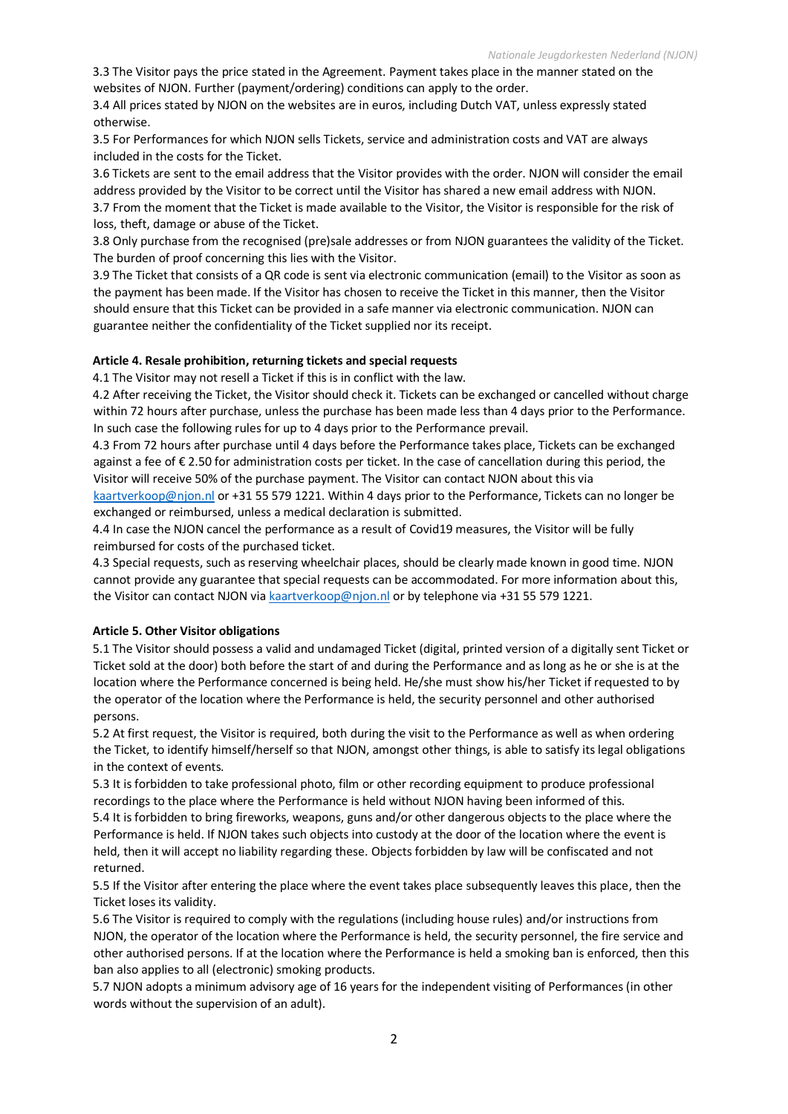3.3 The Visitor pays the price stated in the Agreement. Payment takes place in the manner stated on the websites of NJON. Further (payment/ordering) conditions can apply to the order.

3.4 All prices stated by NJON on the websites are in euros, including Dutch VAT, unless expressly stated otherwise.

3.5 For Performances for which NJON sells Tickets, service and administration costs and VAT are always included in the costs for the Ticket.

3.6 Tickets are sent to the email address that the Visitor provides with the order. NJON will consider the email address provided by the Visitor to be correct until the Visitor has shared a new email address with NJON. 3.7 From the moment that the Ticket is made available to the Visitor, the Visitor is responsible for the risk of loss, theft, damage or abuse of the Ticket.

3.8 Only purchase from the recognised (pre)sale addresses or from NJON guarantees the validity of the Ticket. The burden of proof concerning this lies with the Visitor.

3.9 The Ticket that consists of a QR code is sent via electronic communication (email) to the Visitor as soon as the payment has been made. If the Visitor has chosen to receive the Ticket in this manner, then the Visitor should ensure that this Ticket can be provided in a safe manner via electronic communication. NJON can guarantee neither the confidentiality of the Ticket supplied nor its receipt.

### **Article 4. Resale prohibition, returning tickets and special requests**

4.1 The Visitor may not resell a Ticket if this is in conflict with the law.

4.2 After receiving the Ticket, the Visitor should check it. Tickets can be exchanged or cancelled without charge within 72 hours after purchase, unless the purchase has been made less than 4 days prior to the Performance. In such case the following rules for up to 4 days prior to the Performance prevail.

4.3 From 72 hours after purchase until 4 days before the Performance takes place, Tickets can be exchanged against a fee of € 2.50 for administration costs per ticket. In the case of cancellation during this period, the Visitor will receive 50% of the purchase payment. The Visitor can contact NJON about this via

[kaartverkoop@njon.nl](mailto:kaartverkoop@njon.nl) or +31 55 579 1221. Within 4 days prior to the Performance, Tickets can no longer be exchanged or reimbursed, unless a medical declaration is submitted.

4.4 In case the NJON cancel the performance as a result of Covid19 measures, the Visitor will be fully reimbursed for costs of the purchased ticket.

4.3 Special requests, such as reserving wheelchair places, should be clearly made known in good time. NJON cannot provide any guarantee that special requests can be accommodated. For more information about this, the Visitor can contact NJON vi[a kaartverkoop@njon.nl](mailto:kaartverkoop@njon.nl) or by telephone via +31 55 579 1221.

#### **Article 5. Other Visitor obligations**

5.1 The Visitor should possess a valid and undamaged Ticket (digital, printed version of a digitally sent Ticket or Ticket sold at the door) both before the start of and during the Performance and as long as he or she is at the location where the Performance concerned is being held. He/she must show his/her Ticket if requested to by the operator of the location where the Performance is held, the security personnel and other authorised persons.

5.2 At first request, the Visitor is required, both during the visit to the Performance as well as when ordering the Ticket, to identify himself/herself so that NJON, amongst other things, is able to satisfy its legal obligations in the context of events.

5.3 It is forbidden to take professional photo, film or other recording equipment to produce professional recordings to the place where the Performance is held without NJON having been informed of this. 5.4 It is forbidden to bring fireworks, weapons, guns and/or other dangerous objects to the place where the Performance is held. If NJON takes such objects into custody at the door of the location where the event is held, then it will accept no liability regarding these. Objects forbidden by law will be confiscated and not returned.

5.5 If the Visitor after entering the place where the event takes place subsequently leaves this place, then the Ticket loses its validity.

5.6 The Visitor is required to comply with the regulations (including house rules) and/or instructions from NJON, the operator of the location where the Performance is held, the security personnel, the fire service and other authorised persons. If at the location where the Performance is held a smoking ban is enforced, then this ban also applies to all (electronic) smoking products.

5.7 NJON adopts a minimum advisory age of 16 years for the independent visiting of Performances (in other words without the supervision of an adult).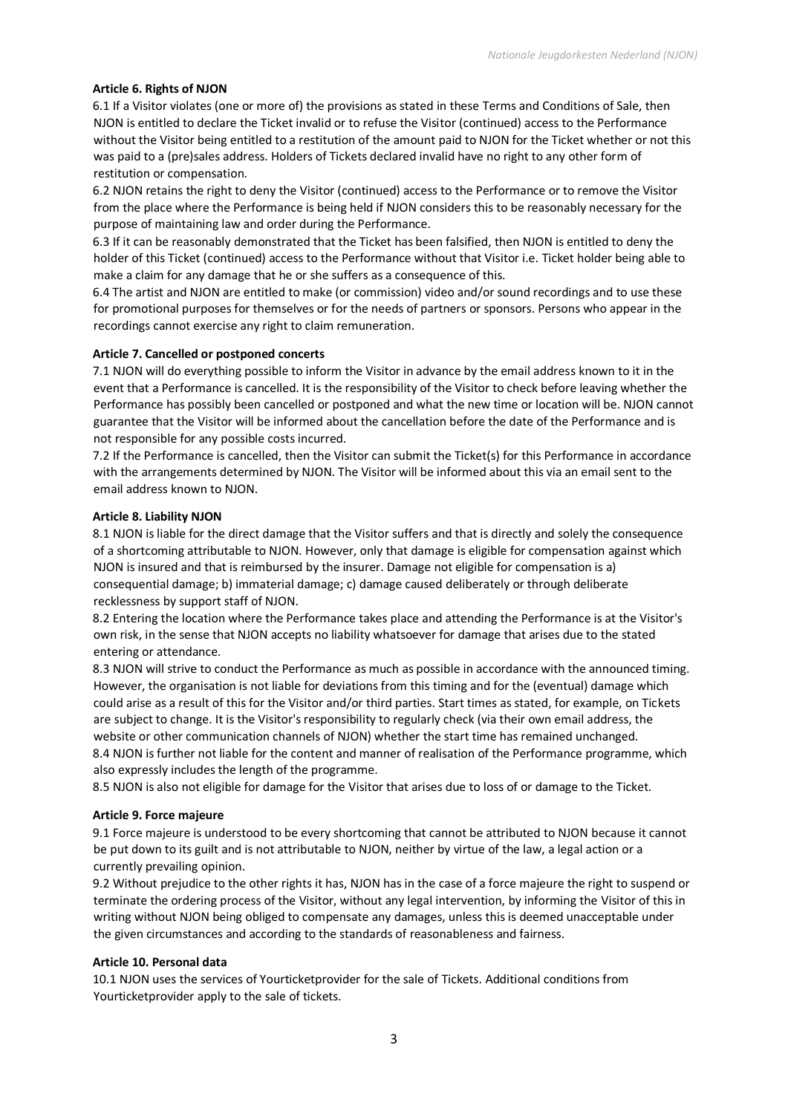### **Article 6. Rights of NJON**

6.1 If a Visitor violates (one or more of) the provisions as stated in these Terms and Conditions of Sale, then NJON is entitled to declare the Ticket invalid or to refuse the Visitor (continued) access to the Performance without the Visitor being entitled to a restitution of the amount paid to NJON for the Ticket whether or not this was paid to a (pre)sales address. Holders of Tickets declared invalid have no right to any other form of restitution or compensation.

6.2 NJON retains the right to deny the Visitor (continued) access to the Performance or to remove the Visitor from the place where the Performance is being held if NJON considers this to be reasonably necessary for the purpose of maintaining law and order during the Performance.

6.3 If it can be reasonably demonstrated that the Ticket has been falsified, then NJON is entitled to deny the holder of this Ticket (continued) access to the Performance without that Visitor i.e. Ticket holder being able to make a claim for any damage that he or she suffers as a consequence of this.

6.4 The artist and NJON are entitled to make (or commission) video and/or sound recordings and to use these for promotional purposes for themselves or for the needs of partners or sponsors. Persons who appear in the recordings cannot exercise any right to claim remuneration.

### **Article 7. Cancelled or postponed concerts**

7.1 NJON will do everything possible to inform the Visitor in advance by the email address known to it in the event that a Performance is cancelled. It is the responsibility of the Visitor to check before leaving whether the Performance has possibly been cancelled or postponed and what the new time or location will be. NJON cannot guarantee that the Visitor will be informed about the cancellation before the date of the Performance and is not responsible for any possible costs incurred.

7.2 If the Performance is cancelled, then the Visitor can submit the Ticket(s) for this Performance in accordance with the arrangements determined by NJON. The Visitor will be informed about this via an email sent to the email address known to NJON.

#### **Article 8. Liability NJON**

8.1 NJON is liable for the direct damage that the Visitor suffers and that is directly and solely the consequence of a shortcoming attributable to NJON. However, only that damage is eligible for compensation against which NJON is insured and that is reimbursed by the insurer. Damage not eligible for compensation is a) consequential damage; b) immaterial damage; c) damage caused deliberately or through deliberate recklessness by support staff of NJON.

8.2 Entering the location where the Performance takes place and attending the Performance is at the Visitor's own risk, in the sense that NJON accepts no liability whatsoever for damage that arises due to the stated entering or attendance.

8.3 NJON will strive to conduct the Performance as much as possible in accordance with the announced timing. However, the organisation is not liable for deviations from this timing and for the (eventual) damage which could arise as a result of this for the Visitor and/or third parties. Start times as stated, for example, on Tickets are subject to change. It is the Visitor's responsibility to regularly check (via their own email address, the website or other communication channels of NJON) whether the start time has remained unchanged. 8.4 NJON is further not liable for the content and manner of realisation of the Performance programme, which also expressly includes the length of the programme.

8.5 NJON is also not eligible for damage for the Visitor that arises due to loss of or damage to the Ticket.

### **Article 9. Force majeure**

9.1 Force majeure is understood to be every shortcoming that cannot be attributed to NJON because it cannot be put down to its guilt and is not attributable to NJON, neither by virtue of the law, a legal action or a currently prevailing opinion.

9.2 Without prejudice to the other rights it has, NJON has in the case of a force majeure the right to suspend or terminate the ordering process of the Visitor, without any legal intervention, by informing the Visitor of this in writing without NJON being obliged to compensate any damages, unless this is deemed unacceptable under the given circumstances and according to the standards of reasonableness and fairness.

### **Article 10. Personal data**

10.1 NJON uses the services of Yourticketprovider for the sale of Tickets. Additional conditions from Yourticketprovider apply to the sale of tickets.